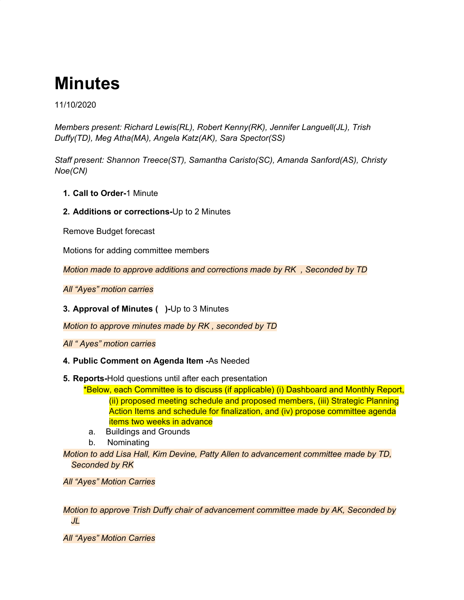# **Minutes**

11/10/2020

*Members present: Richard Lewis(RL), Robert Kenny(RK), Jennifer Languell(JL), Trish Duffy(TD), Meg Atha(MA), Angela Katz(AK), Sara Spector(SS)*

*Staff present: Shannon Treece(ST), Samantha Caristo(SC), Amanda Sanford(AS), Christy Noe(CN)*

- **1. Call to Order-**1 Minute
- **2. Additions or corrections-**Up to 2 Minutes

Remove Budget forecast

Motions for adding committee members

*Motion made to approve additions and corrections made by RK , Seconded by TD*

*All "Ayes" motion carries*

**3. Approval of Minutes ( )-**Up to 3 Minutes

*Motion to approve minutes made by RK , seconded by TD*

*All " Ayes" motion carries*

- **4. Public Comment on Agenda Item -**As Needed
- **5. Reports-**Hold questions until after each presentation
	- \*Below, each Committee is to discuss (if applicable) (i) Dashboard and Monthly Report, (ii) proposed meeting schedule and proposed members, (iii) Strategic Planning Action Items and schedule for finalization, and (iv) propose committee agenda items two weeks in advance
	- a. Buildings and Grounds
	- b. Nominating

*Motion to add Lisa Hall, Kim Devine, Patty Allen to advancement committee made by TD, Seconded by RK*

*All "Ayes" Motion Carries*

*Motion to approve Trish Duffy chair of advancement committee made by AK, Seconded by JL*

*All "Ayes" Motion Carries*